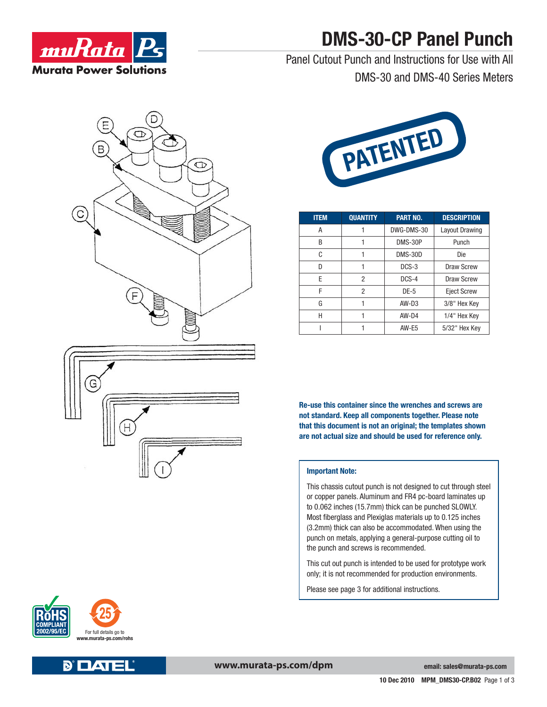

# **DMS-30-CP Panel Punch**

Panel Cutout Punch and Instructions for Use with All DMS-30 and DMS-40 Series Meters







| <b>ITEM</b> | <b>QUANTITY</b> | <b>PART NO.</b> | <b>DESCRIPTION</b>    |
|-------------|-----------------|-----------------|-----------------------|
| А           |                 | DWG-DMS-30      | <b>Layout Drawing</b> |
| B           |                 | DMS-30P         | Punch                 |
| C           | 1               | DMS-30D         | Die                   |
| D           |                 | $DCS-3$         | Draw Screw            |
| F           | 2               | DCS-4           | Draw Screw            |
| F           | 2               | $DE-5$          | <b>Eject Screw</b>    |
| G           |                 | $AW-D3$         | 3/8" Hex Key          |
| Н           |                 | $AW-D4$         | 1/4" Hex Key          |
|             |                 | AW-E5           | 5/32" Hex Key         |

**Re-use this container since the wrenches and screws are not standard. Keep all components together. Please note that this document is not an original; the templates shown are not actual size and should be used for reference only.**

#### **Important Note:**

This chassis cutout punch is not designed to cut through steel or copper panels. Aluminum and FR4 pc-board laminates up to 0.062 inches (15.7mm) thick can be punched SLOWLY. Most fiberglass and Plexiglas materials up to 0.125 inches (3.2mm) thick can also be accommodated. When using the punch on metals, applying a general-purpose cutting oil to the punch and screws is recommended.

This cut out punch is intended to be used for prototype work only; it is not recommended for production environments.

Please see page 3 for additional instructions.





**email: sales@murata-ps.com**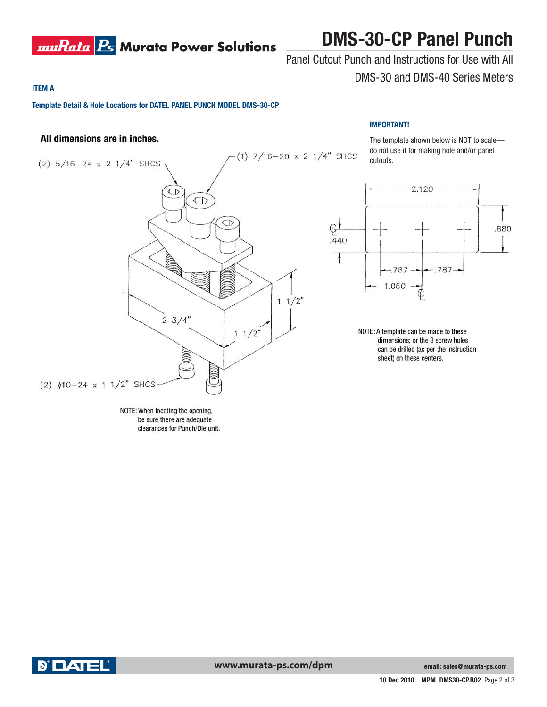

## **DMS-30-CP Panel Punch**

### Panel Cutout Punch and Instructions for Use with All DMS-30 and DMS-40 Series Meters

**IMPORTANT!**

#### **ITEM A**

**Template Detail & Hole Locations for DATEL PANEL PUNCH MODEL DMS-30-CP**

### All dimensions are in inches.



⊕±

.440 ł

The template shown below is NOT to scale do not use it for making hole and/or panel cutouts.

.880

 $2.120 -$ 



 $-.787 -787$ 1.060

NOTE: A template can be made to these dimensions; or the 3 screw holes can be drilled (as per the instruction sheet) on these centers.

NOTE: When locating the opening, be sure there are adequate clearances for Punch/Die unit.